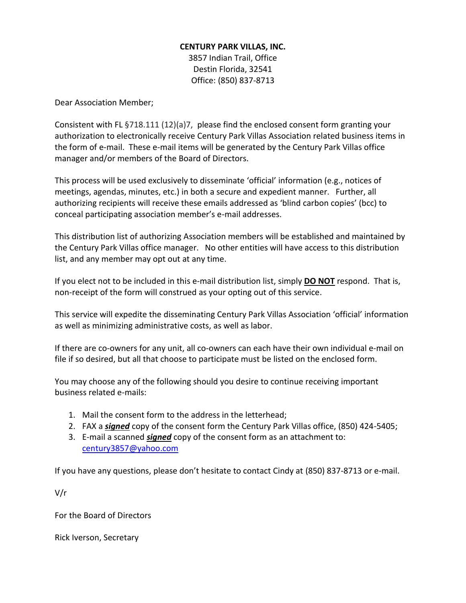## **CENTURY PARK VILLAS, INC.**

3857 Indian Trail, Office Destin Florida, 32541 Office: (850) 837-8713

Dear Association Member;

Consistent with FL §718.111 (12)(a)7, please find the enclosed consent form granting your authorization to electronically receive Century Park Villas Association related business items in the form of e‐mail. These e-mail items will be generated by the Century Park Villas office manager and/or members of the Board of Directors.

This process will be used exclusively to disseminate 'official' information (e.g., notices of meetings, agendas, minutes, etc.) in both a secure and expedient manner. Further, all authorizing recipients will receive these emails addressed as 'blind carbon copies' (bcc) to conceal participating association member's e-mail addresses.

This distribution list of authorizing Association members will be established and maintained by the Century Park Villas office manager. No other entities will have access to this distribution list, and any member may opt out at any time.

If you elect not to be included in this e‐mail distribution list, simply **DO NOT** respond. That is, non-receipt of the form will construed as your opting out of this service.

This service will expedite the disseminating Century Park Villas Association 'official' information as well as minimizing administrative costs, as well as labor.

If there are co-owners for any unit, all co-owners can each have their own individual e-mail on file if so desired, but all that choose to participate must be listed on the enclosed form.

You may choose any of the following should you desire to continue receiving important business related e-mails:

- 1. Mail the consent form to the address in the letterhead;
- 2. FAX a *signed* copy of the consent form the Century Park Villas office, (850) 424-5405;
- 3. E‐mail a scanned *signed* copy of the consent form as an attachment to: [century3857@yahoo.com](mailto:century3857@yahoo.com)

If you have any questions, please don't hesitate to contact Cindy at (850) 837-8713 or e‐mail.

V/r

For the Board of Directors

Rick Iverson, Secretary